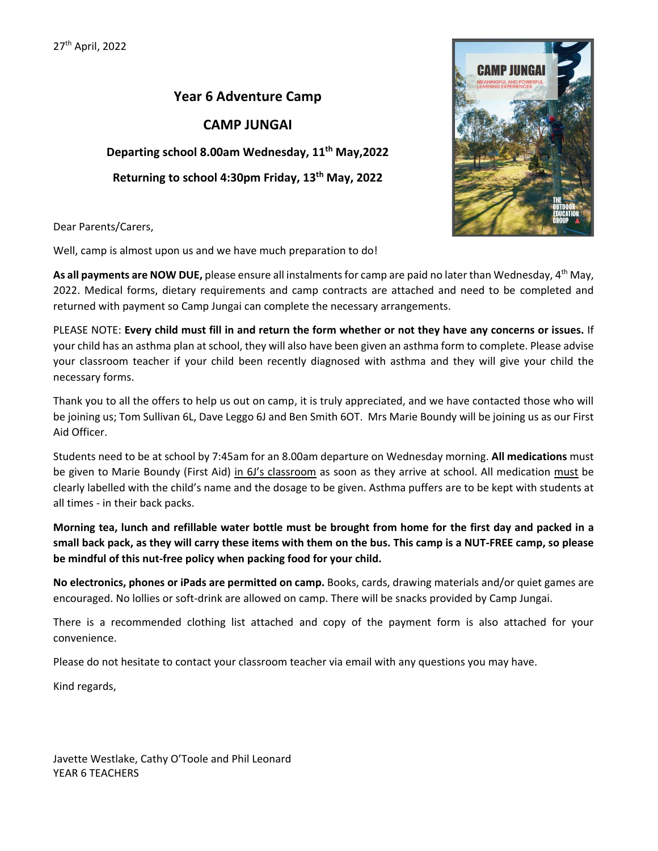# **Year 6 Adventure Camp**

#### **CAMP JUNGAI**

**Departing school 8.00am Wednesday, 11th May,2022 Returning to school 4:30pm Friday, 13th May, 2022**



Dear Parents/Carers,

Well, camp is almost upon us and we have much preparation to do!

**As all payments are NOW DUE,** please ensure all instalments for camp are paid no later than Wednesday, 4th May, 2022. Medical forms, dietary requirements and camp contracts are attached and need to be completed and returned with payment so Camp Jungai can complete the necessary arrangements.

PLEASE NOTE: **Every child must fill in and return the form whether or not they have any concerns or issues.** If your child has an asthma plan at school, they will also have been given an asthma form to complete. Please advise your classroom teacher if your child been recently diagnosed with asthma and they will give your child the necessary forms.

Thank you to all the offers to help us out on camp, it is truly appreciated, and we have contacted those who will be joining us; Tom Sullivan 6L, Dave Leggo 6J and Ben Smith 6OT. Mrs Marie Boundy will be joining us as our First Aid Officer.

Students need to be at school by 7:45am for an 8.00am departure on Wednesday morning. **All medications** must be given to Marie Boundy (First Aid) in 6J's classroom as soon as they arrive at school. All medication must be clearly labelled with the child's name and the dosage to be given. Asthma puffers are to be kept with students at all times - in their back packs.

**Morning tea, lunch and refillable water bottle must be brought from home for the first day and packed in a small back pack, as they will carry these items with them on the bus. This camp is a NUT-FREE camp, so please be mindful of this nut-free policy when packing food for your child.** 

**No electronics, phones or iPads are permitted on camp.** Books, cards, drawing materials and/or quiet games are encouraged. No lollies or soft-drink are allowed on camp. There will be snacks provided by Camp Jungai.

There is a recommended clothing list attached and copy of the payment form is also attached for your convenience.

Please do not hesitate to contact your classroom teacher via email with any questions you may have.

Kind regards,

Javette Westlake, Cathy O'Toole and Phil Leonard YEAR 6 TEACHERS